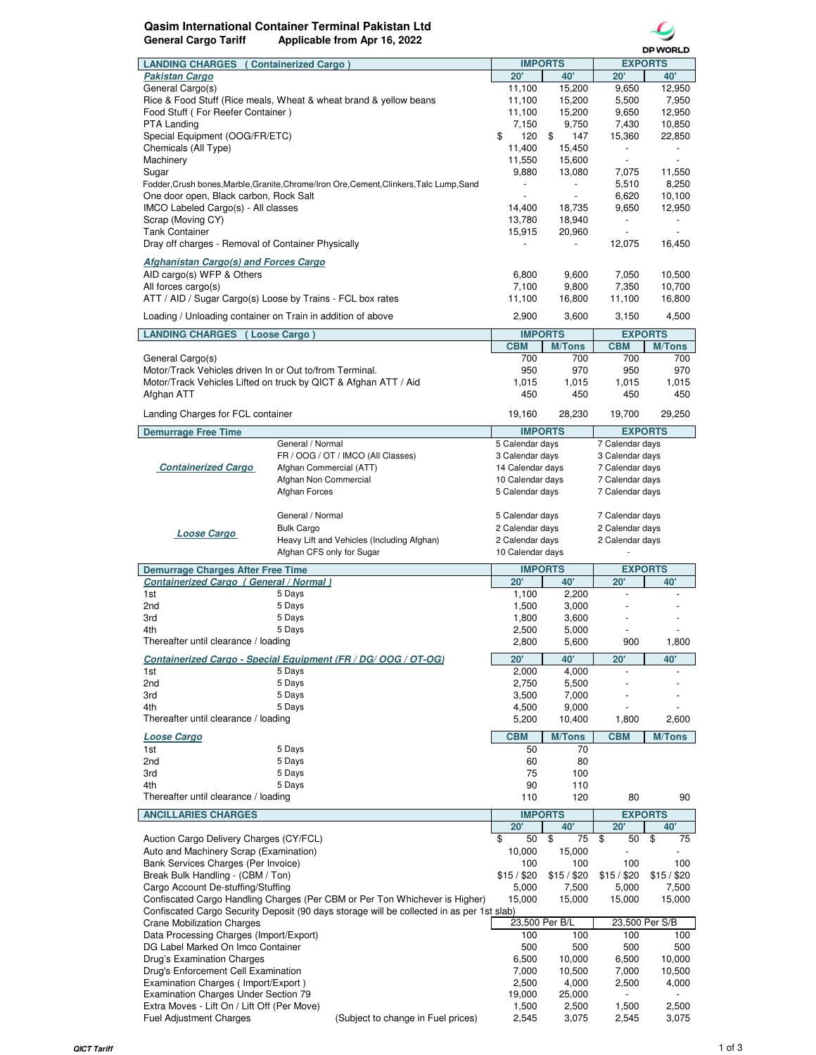## **Qasim International Container Terminal Pakistan Ltd General Cargo Tariff Applicable from Apr 16, 2022**



|                                                                   |                                                                                           |                  |                | <b>DP WORLD</b>          |                |
|-------------------------------------------------------------------|-------------------------------------------------------------------------------------------|------------------|----------------|--------------------------|----------------|
| <b>LANDING CHARGES</b> ( Containerized Cargo )                    |                                                                                           |                  | <b>IMPORTS</b> | <b>EXPORTS</b>           |                |
| <b>Pakistan Cargo</b>                                             |                                                                                           | 20'              | 40             | 20'                      | 40'            |
| General Cargo(s)                                                  |                                                                                           | 11,100           | 15,200         | 9,650                    | 12,950         |
| Rice & Food Stuff (Rice meals, Wheat & wheat brand & yellow beans |                                                                                           | 11,100           | 15,200         | 5,500                    | 7,950          |
| Food Stuff (For Reefer Container)                                 |                                                                                           | 11,100           | 15,200         | 9,650                    | 12,950         |
| <b>PTA Landing</b>                                                |                                                                                           | 7,150            | 9,750          | 7,430                    | 10,850         |
| Special Equipment (OOG/FR/ETC)                                    |                                                                                           | \$<br>120        | \$<br>147      | 15,360                   | 22,850         |
| Chemicals (All Type)                                              |                                                                                           | 11,400           | 15,450         | $\overline{\phantom{a}}$ |                |
| Machinery                                                         |                                                                                           | 11,550           | 15,600         |                          |                |
| Sugar                                                             |                                                                                           | 9,880            | 13,080         | 7,075                    | 11,550         |
|                                                                   | Fodder, Crush bones, Marble, Granite, Chrome/Iron Ore, Cement, Clinkers, Talc Lump, Sand  |                  |                | 5,510                    | 8,250          |
| One door open, Black carbon, Rock Salt                            |                                                                                           |                  |                | 6,620                    | 10,100         |
|                                                                   |                                                                                           | 14,400           | 18,735         | 9,650                    | 12,950         |
| IMCO Labeled Cargo(s) - All classes                               |                                                                                           |                  |                |                          |                |
| Scrap (Moving CY)                                                 |                                                                                           | 13,780           | 18,940         |                          |                |
| <b>Tank Container</b>                                             |                                                                                           | 15,915           | 20,960         | $\blacksquare$           |                |
| Dray off charges - Removal of Container Physically                |                                                                                           |                  |                | 12,075                   | 16,450         |
| <b>Afghanistan Cargo(s) and Forces Cargo</b>                      |                                                                                           |                  |                |                          |                |
| AID cargo(s) WFP & Others                                         |                                                                                           | 6,800            | 9,600          | 7,050                    | 10,500         |
| All forces cargo(s)                                               |                                                                                           | 7,100            | 9,800          | 7,350                    | 10,700         |
|                                                                   | ATT / AID / Sugar Cargo(s) Loose by Trains - FCL box rates                                | 11,100           | 16,800         | 11,100                   | 16,800         |
|                                                                   |                                                                                           |                  |                |                          |                |
| Loading / Unloading container on Train in addition of above       |                                                                                           | 2,900            | 3,600          | 3,150                    | 4,500          |
|                                                                   |                                                                                           |                  | <b>IMPORTS</b> |                          | <b>EXPORTS</b> |
| <b>LANDING CHARGES (Loose Cargo)</b>                              |                                                                                           |                  |                | <b>CBM</b>               |                |
|                                                                   |                                                                                           | <b>CBM</b>       | <b>M/Tons</b>  |                          | <b>M/Tons</b>  |
| General Cargo(s)                                                  |                                                                                           | 700              | 700            | 700                      | 700            |
| Motor/Track Vehicles driven In or Out to/from Terminal.           |                                                                                           | 950              | 970            | 950                      | 970            |
|                                                                   | Motor/Track Vehicles Lifted on truck by QICT & Afghan ATT / Aid                           | 1,015            | 1,015          | 1,015                    | 1,015          |
| Afghan ATT                                                        |                                                                                           | 450              | 450            | 450                      | 450            |
| Landing Charges for FCL container                                 |                                                                                           | 19,160           | 28,230         | 19,700                   | 29,250         |
|                                                                   |                                                                                           |                  |                |                          |                |
| <b>Demurrage Free Time</b>                                        |                                                                                           |                  | <b>IMPORTS</b> |                          | <b>EXPORTS</b> |
|                                                                   | General / Normal                                                                          | 5 Calendar days  |                | 7 Calendar days          |                |
|                                                                   | FR / OOG / OT / IMCO (All Classes)                                                        | 3 Calendar days  |                | 3 Calendar days          |                |
| <b>Containerized Cargo</b>                                        | Afghan Commercial (ATT)                                                                   | 14 Calendar days |                | 7 Calendar days          |                |
|                                                                   | Afghan Non Commercial                                                                     | 10 Calendar days |                | 7 Calendar days          |                |
|                                                                   | Afghan Forces                                                                             | 5 Calendar days  |                | 7 Calendar days          |                |
|                                                                   |                                                                                           |                  |                |                          |                |
|                                                                   | General / Normal                                                                          | 5 Calendar days  |                | 7 Calendar days          |                |
|                                                                   | <b>Bulk Cargo</b>                                                                         | 2 Calendar days  |                | 2 Calendar days          |                |
| Loose Cargo                                                       | Heavy Lift and Vehicles (Including Afghan)                                                |                  |                |                          |                |
|                                                                   |                                                                                           | 2 Calendar days  |                | 2 Calendar days          |                |
| Afghan CFS only for Sugar                                         |                                                                                           | 10 Calendar days |                |                          |                |
|                                                                   | <b>Demurrage Charges After Free Time</b>                                                  |                  |                |                          |                |
|                                                                   |                                                                                           |                  | <b>IMPORTS</b> |                          | <b>EXPORTS</b> |
| Containerized Cargo (General / Normal)                            |                                                                                           | 20'              | 40'            | 20'                      | 40'            |
| 1st                                                               | 5 Days                                                                                    | 1,100            | 2,200          | ä,                       |                |
| 2nd                                                               | 5 Days                                                                                    | 1,500            | 3,000          |                          |                |
|                                                                   |                                                                                           |                  |                |                          |                |
| 3rd                                                               | 5 Days                                                                                    | 1,800            | 3,600          |                          |                |
| 4th                                                               | 5 Days                                                                                    | 2,500            | 5,000          |                          |                |
| Thereafter until clearance / loading                              |                                                                                           | 2,800            | 5,600          | 900                      | 1,800          |
|                                                                   | Containerized Cargo - Special Equipment (FR / DG/ OOG / OT-OG)                            | 20'              | 40'            | 20'                      | 40             |
| 1st                                                               | 5 Days                                                                                    | 2,000            | 4,000          |                          |                |
| 2nd                                                               | 5 Days                                                                                    | 2,750            | 5,500          | $\overline{\phantom{a}}$ |                |
| 3rd                                                               | 5 Days                                                                                    | 3,500            | 7,000          |                          |                |
| 4th                                                               | 5 Days                                                                                    | 4,500            | 9,000          |                          |                |
| Thereafter until clearance / loading                              |                                                                                           | 5,200            | 10,400         | 1,800                    | 2,600          |
|                                                                   |                                                                                           |                  |                |                          |                |
| <b>Loose Cargo</b>                                                |                                                                                           | <b>CBM</b>       | <b>M/Tons</b>  | <b>CBM</b>               | <b>M/Tons</b>  |
| 1st                                                               | 5 Days                                                                                    | 50               | 70             |                          |                |
| 2nd                                                               | 5 Days                                                                                    | 60               | 80             |                          |                |
| 3rd                                                               | 5 Days                                                                                    | 75               | 100            |                          |                |
| 4th                                                               | 5 Days                                                                                    | 90               | 110            |                          |                |
| Thereafter until clearance / loading                              |                                                                                           | 110              | 120            | 80                       | 90             |
|                                                                   |                                                                                           |                  | <b>IMPORTS</b> |                          | <b>EXPORTS</b> |
| <b>ANCILLARIES CHARGES</b>                                        |                                                                                           |                  |                |                          |                |
|                                                                   |                                                                                           | $20^{\circ}$     | 40'            | 20'                      | 40             |
| Auction Cargo Delivery Charges (CY/FCL)                           |                                                                                           | 50<br>\$         | \$<br>75       | \$<br>50                 | \$<br>75       |
| Auto and Machinery Scrap (Examination)                            |                                                                                           | 10,000           | 15,000         |                          |                |
| Bank Services Charges (Per Invoice)                               |                                                                                           | 100              | 100            | 100                      | 100            |
| Break Bulk Handling - (CBM / Ton)                                 |                                                                                           | \$15/\$20        | \$15/\$20      | \$15/\$20                | \$15/\$20      |
| Cargo Account De-stuffing/Stuffing                                |                                                                                           | 5,000            | 7,500          | 5,000                    | 7,500          |
|                                                                   | Confiscated Cargo Handling Charges (Per CBM or Per Ton Whichever is Higher)               | 15,000           | 15,000         | 15,000                   | 15,000         |
|                                                                   | Confiscated Cargo Security Deposit (90 days storage will be collected in as per 1st slab) |                  |                |                          |                |
| <b>Crane Mobilization Charges</b>                                 |                                                                                           |                  | 23,500 Per B/L | 23,500 Per S/B           |                |
| Data Processing Charges (Import/Export)                           |                                                                                           | 100              | 100            | 100                      | 100            |
| DG Label Marked On Imco Container                                 |                                                                                           | 500              | 500            | 500                      | 500            |
| Drug's Examination Charges                                        |                                                                                           | 6,500            | 10,000         | 6,500                    | 10,000         |
| Drug's Enforcement Cell Examination                               |                                                                                           | 7,000            | 10,500         | 7,000                    | 10,500         |
| Examination Charges (Import/Export)                               |                                                                                           | 2,500            | 4,000          | 2,500                    | 4,000          |
| <b>Examination Charges Under Section 79</b>                       |                                                                                           | 19,000           | 25,000         |                          |                |
| Extra Moves - Lift On / Lift Off (Per Move)                       |                                                                                           | 1,500<br>2,545   | 2,500          | 1,500                    | 2,500          |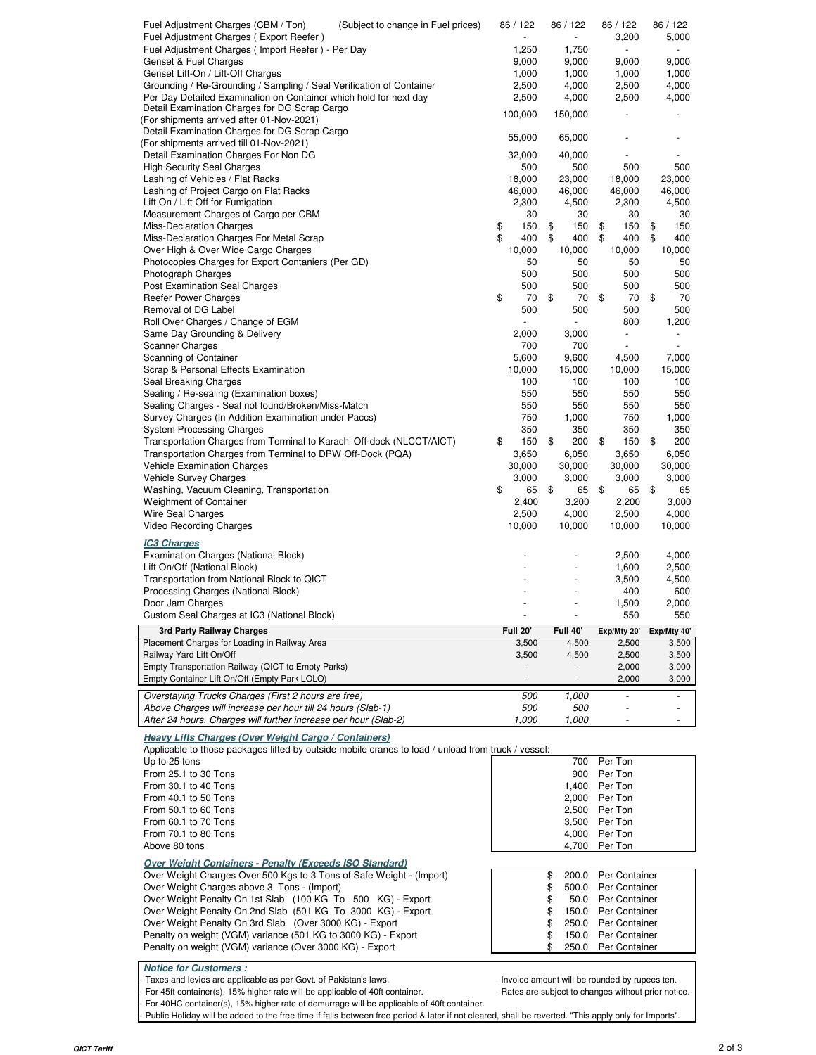| Fuel Adjustment Charges (CBM / Ton)<br>(Subject to change in Fuel prices)                                          | 86 / 122                 | 86 / 122                 | 86 / 122                       | 86 / 122    |
|--------------------------------------------------------------------------------------------------------------------|--------------------------|--------------------------|--------------------------------|-------------|
| Fuel Adjustment Charges (Export Reefer)                                                                            |                          | ÷,                       | 3,200                          | 5,000       |
| Fuel Adjustment Charges (Import Reefer) - Per Day                                                                  | 1,250                    | 1,750                    | $\overline{\phantom{a}}$       |             |
| Genset & Fuel Charges                                                                                              | 9,000                    | 9,000                    | 9,000                          | 9,000       |
| Genset Lift-On / Lift-Off Charges                                                                                  | 1,000                    | 1,000                    | 1,000                          | 1,000       |
| Grounding / Re-Grounding / Sampling / Seal Verification of Container                                               | 2,500                    | 4,000                    | 2,500                          | 4,000       |
| Per Day Detailed Examination on Container which hold for next day<br>Detail Examination Charges for DG Scrap Cargo | 2,500                    | 4,000                    | 2,500                          | 4,000       |
| (For shipments arrived after 01-Nov-2021)                                                                          | 100,000                  | 150,000                  |                                |             |
| Detail Examination Charges for DG Scrap Cargo                                                                      |                          |                          |                                |             |
| (For shipments arrived till 01-Nov-2021)                                                                           | 55,000                   | 65,000                   |                                |             |
| Detail Examination Charges For Non DG                                                                              | 32,000                   | 40,000                   |                                |             |
| <b>High Security Seal Charges</b>                                                                                  | 500                      | 500                      | 500                            | 500         |
| Lashing of Vehicles / Flat Racks                                                                                   | 18,000                   | 23,000                   | 18,000                         | 23,000      |
| Lashing of Project Cargo on Flat Racks                                                                             | 46,000                   | 46,000                   | 46,000                         | 46,000      |
| Lift On / Lift Off for Fumigation                                                                                  | 2,300                    | 4,500                    | 2,300                          | 4,500       |
| Measurement Charges of Cargo per CBM                                                                               | 30                       | 30                       | 30                             | 30          |
| Miss-Declaration Charges                                                                                           | \$<br>150                | 150<br>\$                | \$<br>150                      | \$<br>150   |
| Miss-Declaration Charges For Metal Scrap                                                                           | \$<br>400                | \$<br>400                | \$<br>400                      | \$<br>400   |
| Over High & Over Wide Cargo Charges                                                                                | 10,000                   | 10,000                   | 10,000                         | 10,000      |
| Photocopies Charges for Export Contaniers (Per GD)                                                                 | 50<br>500                | 50<br>500                | 50<br>500                      | 50          |
| Photograph Charges                                                                                                 | 500                      | 500                      | 500                            | 500<br>500  |
| Post Examination Seal Charges<br>Reefer Power Charges                                                              | \$<br>70                 | \$<br>70                 | \$<br>70                       | \$<br>70    |
| Removal of DG Label                                                                                                | 500                      | 500                      | 500                            | 500         |
| Roll Over Charges / Change of EGM                                                                                  |                          | $\blacksquare$           | 800                            | 1,200       |
| Same Day Grounding & Delivery                                                                                      | 2,000                    | 3,000                    | $\overline{\phantom{a}}$       |             |
| <b>Scanner Charges</b>                                                                                             | 700                      | 700                      |                                |             |
| Scanning of Container                                                                                              | 5,600                    | 9,600                    | 4,500                          | 7,000       |
| Scrap & Personal Effects Examination                                                                               | 10,000                   | 15,000                   | 10,000                         | 15,000      |
| Seal Breaking Charges                                                                                              | 100                      | 100                      | 100                            | 100         |
| Sealing / Re-sealing (Examination boxes)                                                                           | 550                      | 550                      | 550                            | 550         |
| Sealing Charges - Seal not found/Broken/Miss-Match                                                                 | 550                      | 550                      | 550                            | 550         |
| Survey Charges (In Addition Examination under Paccs)                                                               | 750                      | 1,000                    | 750                            | 1,000       |
| <b>System Processing Charges</b>                                                                                   | 350                      | 350                      | 350                            | 350         |
| Transportation Charges from Terminal to Karachi Off-dock (NLCCT/AICT)                                              | \$<br>150                | 200<br>\$                | \$<br>150                      | \$<br>200   |
| Transportation Charges from Terminal to DPW Off-Dock (PQA)                                                         | 3,650                    | 6,050                    | 3,650                          | 6,050       |
| <b>Vehicle Examination Charges</b>                                                                                 | 30,000                   | 30,000                   | 30,000                         | 30,000      |
|                                                                                                                    |                          | 3,000                    |                                | 3,000       |
| Vehicle Survey Charges                                                                                             | 3,000                    |                          | 3,000                          |             |
| Washing, Vacuum Cleaning, Transportation                                                                           | \$<br>65                 | \$<br>65                 | \$<br>65                       | \$<br>65    |
| <b>Weighment of Container</b>                                                                                      | 2,400                    | 3,200                    | 2,200                          | 3,000       |
| <b>Wire Seal Charges</b>                                                                                           | 2,500                    | 4,000                    | 2,500                          | 4,000       |
| <b>Video Recording Charges</b>                                                                                     | 10,000                   | 10,000                   | 10,000                         | 10,000      |
| <u>IC3 Charges</u>                                                                                                 |                          |                          |                                |             |
| Examination Charges (National Block)                                                                               |                          |                          | 2,500                          | 4,000       |
| Lift On/Off (National Block)                                                                                       |                          |                          | 1,600                          | 2,500       |
| Transportation from National Block to QICT                                                                         |                          |                          | 3,500                          | 4,500       |
| Processing Charges (National Block)                                                                                |                          |                          | 400                            | 600         |
| Door Jam Charges                                                                                                   |                          |                          | 1,500                          | 2,000       |
| Custom Seal Charges at IC3 (National Block)                                                                        |                          |                          | 550                            | 550         |
| 3rd Party Railway Charges                                                                                          | <b>Full 20'</b>          | <b>Full 40'</b>          | Exp/Mty 20'                    | Exp/Mty 40' |
| Placement Charges for Loading in Railway Area                                                                      | 3,500                    | 4,500                    | 2,500                          | 3,500       |
| Railway Yard Lift On/Off                                                                                           | 3,500                    | 4,500                    | 2,500                          | 3,500       |
| Empty Transportation Railway (QICT to Empty Parks)                                                                 |                          | $\blacksquare$           | 2,000                          | 3,000       |
| Empty Container Lift On/Off (Empty Park LOLO)                                                                      | $\overline{\phantom{a}}$ | $\overline{\phantom{a}}$ | 2,000                          | 3,000       |
|                                                                                                                    | 500                      | 1,000                    |                                |             |
| Overstaying Trucks Charges (First 2 hours are free)<br>Above Charges will increase per hour till 24 hours (Slab-1) | 500                      | 500                      |                                |             |
| After 24 hours, Charges will further increase per hour (Slab-2)                                                    | 1,000                    | 1,000                    |                                |             |
|                                                                                                                    |                          |                          |                                |             |
| <b>Heavy Lifts Charges (Over Weight Cargo / Containers)</b>                                                        |                          |                          |                                |             |
| Applicable to those packages lifted by outside mobile cranes to load / unload from truck / vessel:                 |                          |                          |                                |             |
| Up to 25 tons                                                                                                      |                          | 700                      | Per Ton                        |             |
| From 25.1 to 30 Tons                                                                                               |                          | 900                      | Per Ton                        |             |
| From 30.1 to 40 Tons<br>From 40.1 to 50 Tons                                                                       |                          | 1,400<br>2,000           | Per Ton<br>Per Ton             |             |
| From 50.1 to 60 Tons                                                                                               |                          | 2,500                    | Per Ton                        |             |
| From 60.1 to 70 Tons                                                                                               |                          | 3,500                    | Per Ton                        |             |
| From 70.1 to 80 Tons                                                                                               |                          | 4,000                    | Per Ton                        |             |
| Above 80 tons                                                                                                      |                          | 4,700                    | Per Ton                        |             |
|                                                                                                                    |                          |                          |                                |             |
| <b>Over Weight Containers - Penalty (Exceeds ISO Standard)</b>                                                     |                          |                          |                                |             |
| Over Weight Charges Over 500 Kgs to 3 Tons of Safe Weight - (Import)                                               |                          | \$<br>200.0<br>500.0     | Per Container                  |             |
| Over Weight Charges above 3 Tons - (Import)<br>Over Weight Penalty On 1st Slab (100 KG To 500 KG) - Export         |                          | \$<br>\$<br>50.0         | Per Container<br>Per Container |             |
| Over Weight Penalty On 2nd Slab (501 KG To 3000 KG) - Export                                                       |                          | \$<br>150.0              | Per Container                  |             |
| Over Weight Penalty On 3rd Slab (Over 3000 KG) - Export                                                            |                          | \$<br>250.0              | Per Container                  |             |
| Penalty on weight (VGM) variance (501 KG to 3000 KG) - Export                                                      |                          | \$<br>150.0              | Per Container                  |             |
| Penalty on weight (VGM) variance (Over 3000 KG) - Export                                                           |                          | 250.0                    | Per Container                  |             |
| <b>Notice for Customers:</b>                                                                                       |                          |                          |                                |             |

Taxes and levies are applicable as per Govt. of Pakistan's laws.  $\blacksquare$  - Invoice amount will be rounded by rupees ten.

For 45ft container(s), 15% higher rate will be applicable of 40ft container. <br>- Rates are subject to changes without prior notice.

- For 40HC container(s), 15% higher rate of demurrage will be applicable of 40ft container.

- Public Holiday will be added to the free time if falls between free period & later if not cleared, shall be reverted. "This apply only for Imports".